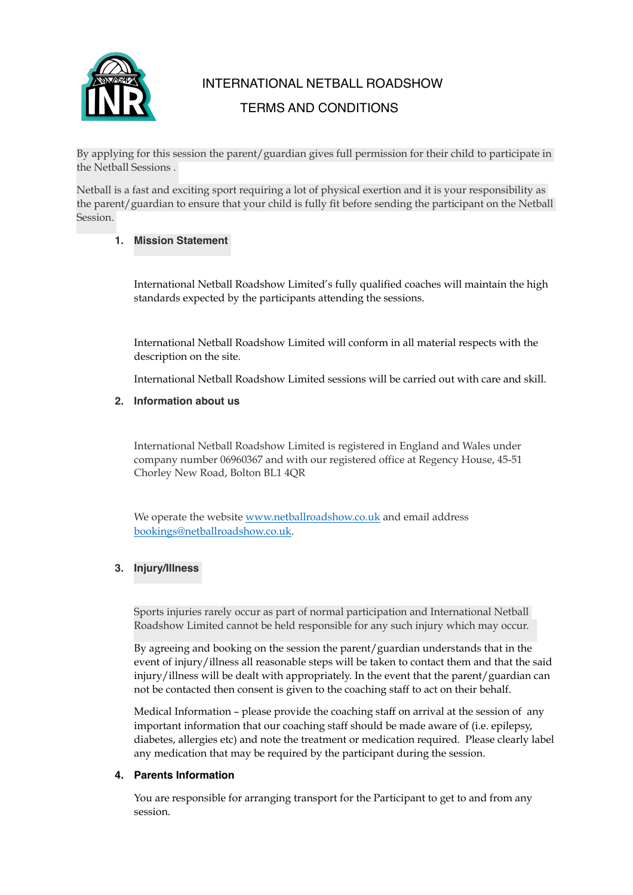

# INTERNATIONAL NETBALL ROADSHOW TERMS AND CONDITIONS

By applying for this session the parent/guardian gives full permission for their child to participate in the Netball Sessions .

Netball is a fast and exciting sport requiring a lot of physical exertion and it is your responsibility as the parent/guardian to ensure that your child is fully fit before sending the participant on the Netball Session.

## **1. Mission Statement**

International Netball Roadshow Limited's fully qualified coaches will maintain the high standards expected by the participants attending the sessions.

International Netball Roadshow Limited will conform in all material respects with the description on the site.

International Netball Roadshow Limited sessions will be carried out with care and skill.

## **2. Information about us**

International Netball Roadshow Limited is registered in England and Wales under company number 06960367 and with our registered office at Regency House, 45-51 Chorley New Road, Bolton BL1 4QR

We operate the website [www.netballroadshow.co.uk](http://www.netballroadshow.co.uk) and email address [bookings@netballroadshow.co.uk](mailto:bookings@netballroadshow.co.uk).

## **3. Injury/Illness**

Sports injuries rarely occur as part of normal participation and International Netball Roadshow Limited cannot be held responsible for any such injury which may occur.

By agreeing and booking on the session the parent/guardian understands that in the event of injury/illness all reasonable steps will be taken to contact them and that the said injury/illness will be dealt with appropriately. In the event that the parent/guardian can not be contacted then consent is given to the coaching staff to act on their behalf.

Medical Information – please provide the coaching staff on arrival at the session of any important information that our coaching staff should be made aware of (i.e. epilepsy, diabetes, allergies etc) and note the treatment or medication required. Please clearly label any medication that may be required by the participant during the session.

#### **4. Parents Information**

You are responsible for arranging transport for the Participant to get to and from any session.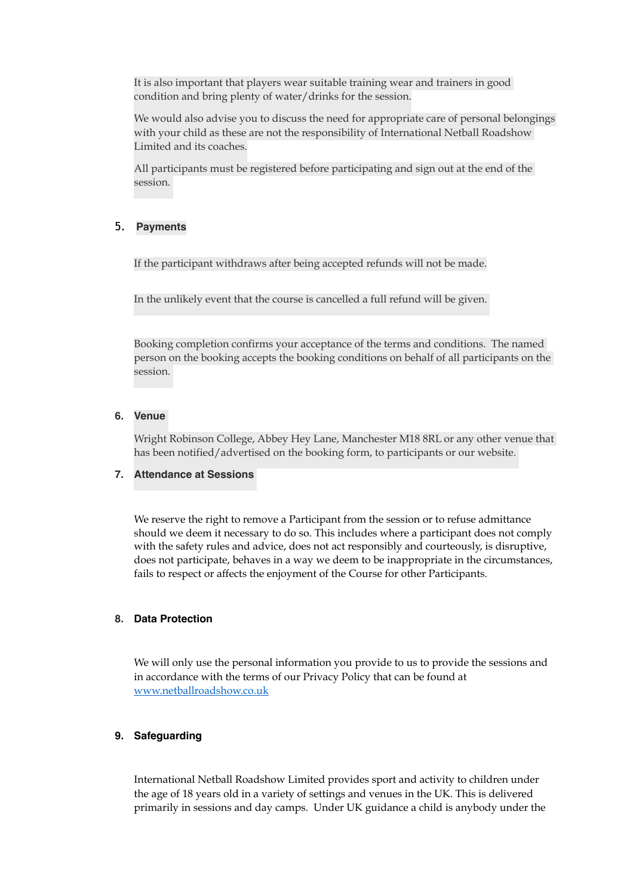It is also important that players wear suitable training wear and trainers in good condition and bring plenty of water/drinks for the session.

We would also advise you to discuss the need for appropriate care of personal belongings with your child as these are not the responsibility of International Netball Roadshow Limited and its coaches.

All participants must be registered before participating and sign out at the end of the session.

#### 5. **Payments**

If the participant withdraws after being accepted refunds will not be made.

In the unlikely event that the course is cancelled a full refund will be given.

Booking completion confirms your acceptance of the terms and conditions. The named person on the booking accepts the booking conditions on behalf of all participants on the session.

## **6. Venue**

Wright Robinson College, Abbey Hey Lane, Manchester M18 8RL or any other venue that has been notified/advertised on the booking form, to participants or our website.

#### **7. Attendance at Sessions**

We reserve the right to remove a Participant from the session or to refuse admittance should we deem it necessary to do so. This includes where a participant does not comply with the safety rules and advice, does not act responsibly and courteously, is disruptive, does not participate, behaves in a way we deem to be inappropriate in the circumstances, fails to respect or affects the enjoyment of the Course for other Participants.

## **8. Data Protection**

We will only use the personal information you provide to us to provide the sessions and in accordance with the terms of our Privacy Policy that can be found at [www.netballroadshow.co.uk](http://www.netballroadshow.co.uk) 

#### **9. Safeguarding**

International Netball Roadshow Limited provides sport and activity to children under the age of 18 years old in a variety of settings and venues in the UK. This is delivered primarily in sessions and day camps. Under UK guidance a child is anybody under the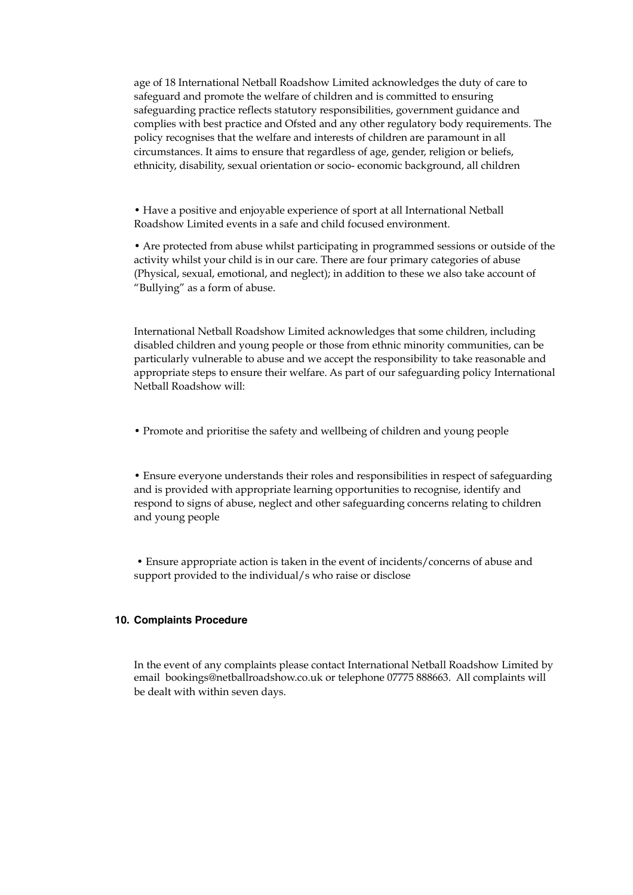age of 18 International Netball Roadshow Limited acknowledges the duty of care to safeguard and promote the welfare of children and is committed to ensuring safeguarding practice reflects statutory responsibilities, government guidance and complies with best practice and Ofsted and any other regulatory body requirements. The policy recognises that the welfare and interests of children are paramount in all circumstances. It aims to ensure that regardless of age, gender, religion or beliefs, ethnicity, disability, sexual orientation or socio- economic background, all children

• Have a positive and enjoyable experience of sport at all International Netball Roadshow Limited events in a safe and child focused environment.

• Are protected from abuse whilst participating in programmed sessions or outside of the activity whilst your child is in our care. There are four primary categories of abuse (Physical, sexual, emotional, and neglect); in addition to these we also take account of "Bullying" as a form of abuse.

International Netball Roadshow Limited acknowledges that some children, including disabled children and young people or those from ethnic minority communities, can be particularly vulnerable to abuse and we accept the responsibility to take reasonable and appropriate steps to ensure their welfare. As part of our safeguarding policy International Netball Roadshow will:

• Promote and prioritise the safety and wellbeing of children and young people

• Ensure everyone understands their roles and responsibilities in respect of safeguarding and is provided with appropriate learning opportunities to recognise, identify and respond to signs of abuse, neglect and other safeguarding concerns relating to children and young people

 • Ensure appropriate action is taken in the event of incidents/concerns of abuse and support provided to the individual/s who raise or disclose

#### **10. Complaints Procedure**

In the event of any complaints please contact International Netball Roadshow Limited by email bookings@netballroadshow.co.uk or telephone 07775 888663. All complaints will be dealt with within seven days.